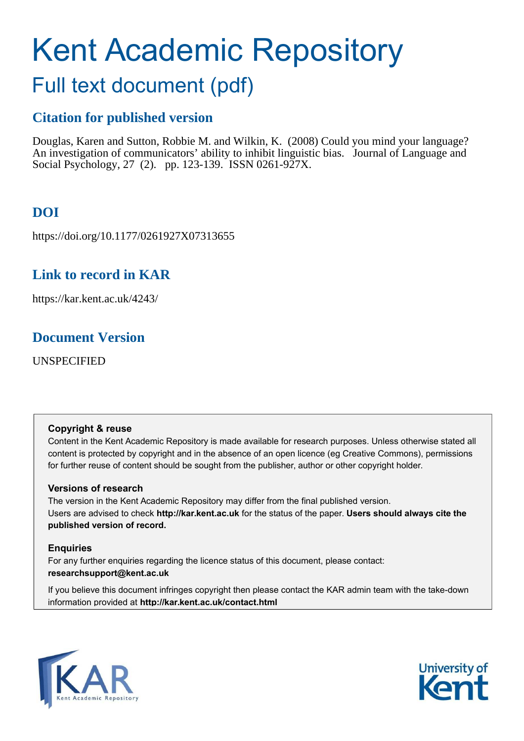# Kent Academic Repository

## Full text document (pdf)

## **Citation for published version**

Douglas, Karen and Sutton, Robbie M. and Wilkin, K. (2008) Could you mind your language? An investigation of communicators' ability to inhibit linguistic bias. Journal of Language and Social Psychology, 27 (2). pp. 123-139. ISSN 0261-927X.

## **DOI**

https://doi.org/10.1177/0261927X07313655

## **Link to record in KAR**

https://kar.kent.ac.uk/4243/

## **Document Version**

UNSPECIFIED

#### **Copyright & reuse**

Content in the Kent Academic Repository is made available for research purposes. Unless otherwise stated all content is protected by copyright and in the absence of an open licence (eg Creative Commons), permissions for further reuse of content should be sought from the publisher, author or other copyright holder.

#### **Versions of research**

The version in the Kent Academic Repository may differ from the final published version. Users are advised to check **http://kar.kent.ac.uk** for the status of the paper. **Users should always cite the published version of record.**

#### **Enquiries**

For any further enquiries regarding the licence status of this document, please contact: **researchsupport@kent.ac.uk**

If you believe this document infringes copyright then please contact the KAR admin team with the take-down information provided at **http://kar.kent.ac.uk/contact.html**



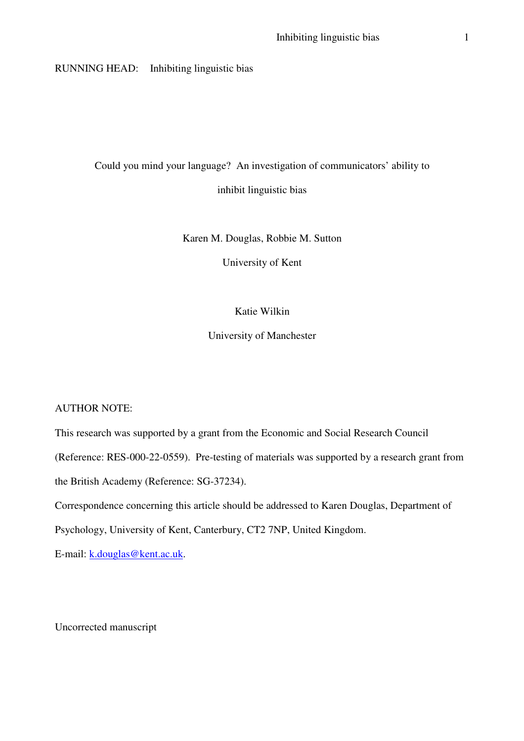#### RUNNING HEAD: Inhibiting linguistic bias

Could you mind your language? An investigation of communicators' ability to

inhibit linguistic bias

Karen M. Douglas, Robbie M. Sutton

University of Kent

#### Katie Wilkin

University of Manchester

#### AUTHOR NOTE:

This research was supported by a grant from the Economic and Social Research Council (Reference: RES-000-22-0559). Pre-testing of materials was supported by a research grant from the British Academy (Reference: SG-37234).

Correspondence concerning this article should be addressed to Karen Douglas, Department of

Psychology, University of Kent, Canterbury, CT2 7NP, United Kingdom.

E-mail: k.douglas@kent.ac.uk.

Uncorrected manuscript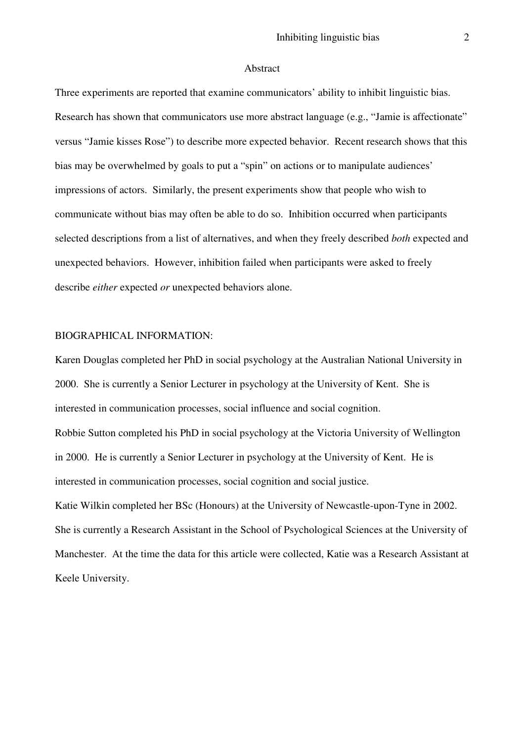#### Abstract

Three experiments are reported that examine communicators' ability to inhibit linguistic bias. Research has shown that communicators use more abstract language (e.g., "Jamie is affectionate" versus "Jamie kisses Rose") to describe more expected behavior. Recent research shows that this bias may be overwhelmed by goals to put a "spin" on actions or to manipulate audiences' impressions of actors. Similarly, the present experiments show that people who wish to communicate without bias may often be able to do so. Inhibition occurred when participants selected descriptions from a list of alternatives, and when they freely described *both* expected and unexpected behaviors. However, inhibition failed when participants were asked to freely describe *either* expected *or* unexpected behaviors alone.

#### BIOGRAPHICAL INFORMATION:

Karen Douglas completed her PhD in social psychology at the Australian National University in 2000. She is currently a Senior Lecturer in psychology at the University of Kent. She is interested in communication processes, social influence and social cognition. Robbie Sutton completed his PhD in social psychology at the Victoria University of Wellington in 2000. He is currently a Senior Lecturer in psychology at the University of Kent. He is interested in communication processes, social cognition and social justice. Katie Wilkin completed her BSc (Honours) at the University of Newcastle-upon-Tyne in 2002. She is currently a Research Assistant in the School of Psychological Sciences at the University of Manchester. At the time the data for this article were collected, Katie was a Research Assistant at Keele University.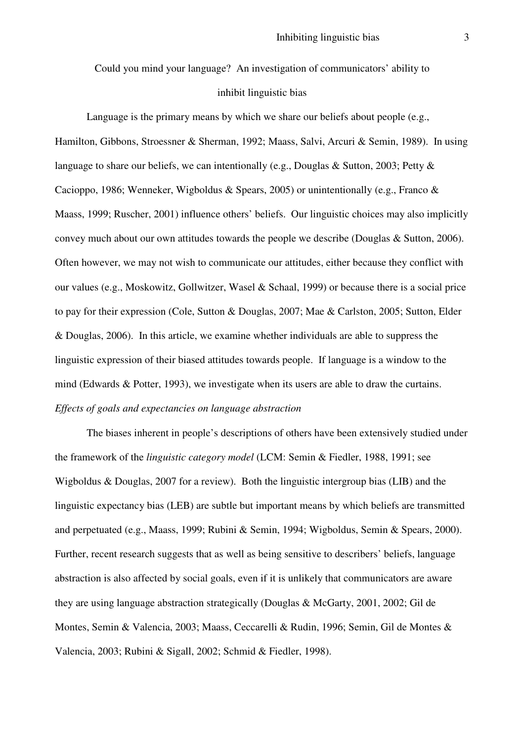Could you mind your language? An investigation of communicators' ability to inhibit linguistic bias

Language is the primary means by which we share our beliefs about people (e.g., Hamilton, Gibbons, Stroessner & Sherman, 1992; Maass, Salvi, Arcuri & Semin, 1989). In using language to share our beliefs, we can intentionally (e.g., Douglas & Sutton, 2003; Petty & Cacioppo, 1986; Wenneker, Wigboldus & Spears, 2005) or unintentionally (e.g., Franco & Maass, 1999; Ruscher, 2001) influence others' beliefs. Our linguistic choices may also implicitly convey much about our own attitudes towards the people we describe (Douglas & Sutton, 2006). Often however, we may not wish to communicate our attitudes, either because they conflict with our values (e.g., Moskowitz, Gollwitzer, Wasel & Schaal, 1999) or because there is a social price to pay for their expression (Cole, Sutton & Douglas, 2007; Mae & Carlston, 2005; Sutton, Elder & Douglas, 2006). In this article, we examine whether individuals are able to suppress the linguistic expression of their biased attitudes towards people. If language is a window to the mind (Edwards & Potter, 1993), we investigate when its users are able to draw the curtains. *Effects of goals and expectancies on language abstraction* 

The biases inherent in people's descriptions of others have been extensively studied under the framework of the *linguistic category model* (LCM: Semin & Fiedler, 1988, 1991; see Wigboldus & Douglas, 2007 for a review). Both the linguistic intergroup bias (LIB) and the linguistic expectancy bias (LEB) are subtle but important means by which beliefs are transmitted and perpetuated (e.g., Maass, 1999; Rubini & Semin, 1994; Wigboldus, Semin & Spears, 2000). Further, recent research suggests that as well as being sensitive to describers' beliefs, language abstraction is also affected by social goals, even if it is unlikely that communicators are aware they are using language abstraction strategically (Douglas & McGarty, 2001, 2002; Gil de Montes, Semin & Valencia, 2003; Maass, Ceccarelli & Rudin, 1996; Semin, Gil de Montes & Valencia, 2003; Rubini & Sigall, 2002; Schmid & Fiedler, 1998).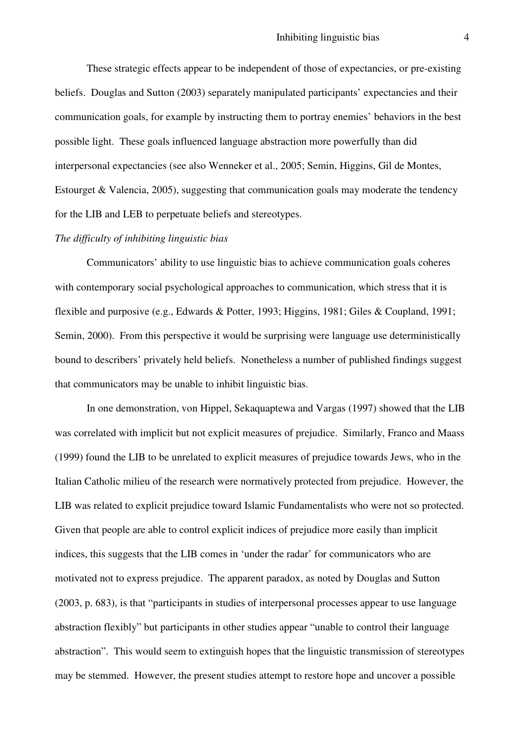These strategic effects appear to be independent of those of expectancies, or pre-existing beliefs. Douglas and Sutton (2003) separately manipulated participants' expectancies and their communication goals, for example by instructing them to portray enemies' behaviors in the best possible light. These goals influenced language abstraction more powerfully than did interpersonal expectancies (see also Wenneker et al., 2005; Semin, Higgins, Gil de Montes, Estourget & Valencia, 2005), suggesting that communication goals may moderate the tendency for the LIB and LEB to perpetuate beliefs and stereotypes.

#### *The difficulty of inhibiting linguistic bias*

Communicators' ability to use linguistic bias to achieve communication goals coheres with contemporary social psychological approaches to communication, which stress that it is flexible and purposive (e.g., Edwards & Potter, 1993; Higgins, 1981; Giles & Coupland, 1991; Semin, 2000). From this perspective it would be surprising were language use deterministically bound to describers' privately held beliefs. Nonetheless a number of published findings suggest that communicators may be unable to inhibit linguistic bias.

In one demonstration, von Hippel, Sekaquaptewa and Vargas (1997) showed that the LIB was correlated with implicit but not explicit measures of prejudice. Similarly, Franco and Maass (1999) found the LIB to be unrelated to explicit measures of prejudice towards Jews, who in the Italian Catholic milieu of the research were normatively protected from prejudice. However, the LIB was related to explicit prejudice toward Islamic Fundamentalists who were not so protected. Given that people are able to control explicit indices of prejudice more easily than implicit indices, this suggests that the LIB comes in 'under the radar' for communicators who are motivated not to express prejudice. The apparent paradox, as noted by Douglas and Sutton (2003, p. 683), is that "participants in studies of interpersonal processes appear to use language abstraction flexibly" but participants in other studies appear "unable to control their language abstraction". This would seem to extinguish hopes that the linguistic transmission of stereotypes may be stemmed. However, the present studies attempt to restore hope and uncover a possible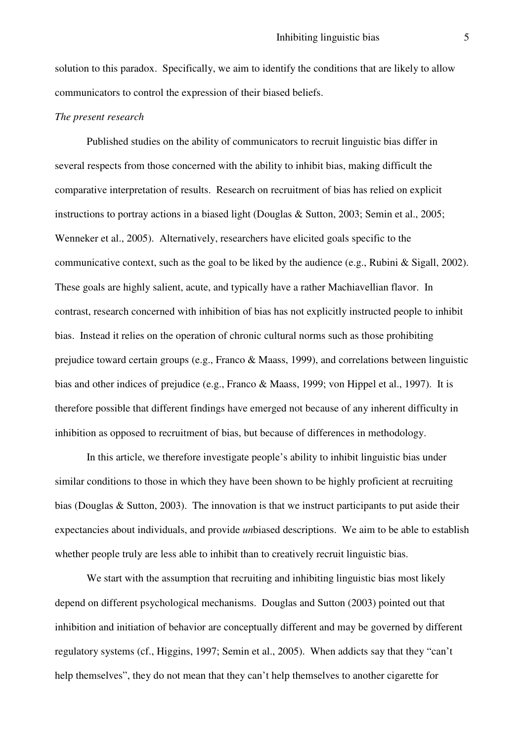solution to this paradox. Specifically, we aim to identify the conditions that are likely to allow communicators to control the expression of their biased beliefs.

#### *The present research*

Published studies on the ability of communicators to recruit linguistic bias differ in several respects from those concerned with the ability to inhibit bias, making difficult the comparative interpretation of results. Research on recruitment of bias has relied on explicit instructions to portray actions in a biased light (Douglas & Sutton, 2003; Semin et al., 2005; Wenneker et al., 2005). Alternatively, researchers have elicited goals specific to the communicative context, such as the goal to be liked by the audience (e.g., Rubini & Sigall, 2002). These goals are highly salient, acute, and typically have a rather Machiavellian flavor. In contrast, research concerned with inhibition of bias has not explicitly instructed people to inhibit bias. Instead it relies on the operation of chronic cultural norms such as those prohibiting prejudice toward certain groups (e.g., Franco & Maass, 1999), and correlations between linguistic bias and other indices of prejudice (e.g., Franco & Maass, 1999; von Hippel et al., 1997). It is therefore possible that different findings have emerged not because of any inherent difficulty in inhibition as opposed to recruitment of bias, but because of differences in methodology.

In this article, we therefore investigate people's ability to inhibit linguistic bias under similar conditions to those in which they have been shown to be highly proficient at recruiting bias (Douglas & Sutton, 2003). The innovation is that we instruct participants to put aside their expectancies about individuals, and provide *un*biased descriptions. We aim to be able to establish whether people truly are less able to inhibit than to creatively recruit linguistic bias.

We start with the assumption that recruiting and inhibiting linguistic bias most likely depend on different psychological mechanisms. Douglas and Sutton (2003) pointed out that inhibition and initiation of behavior are conceptually different and may be governed by different regulatory systems (cf., Higgins, 1997; Semin et al., 2005). When addicts say that they "can't help themselves", they do not mean that they can't help themselves to another cigarette for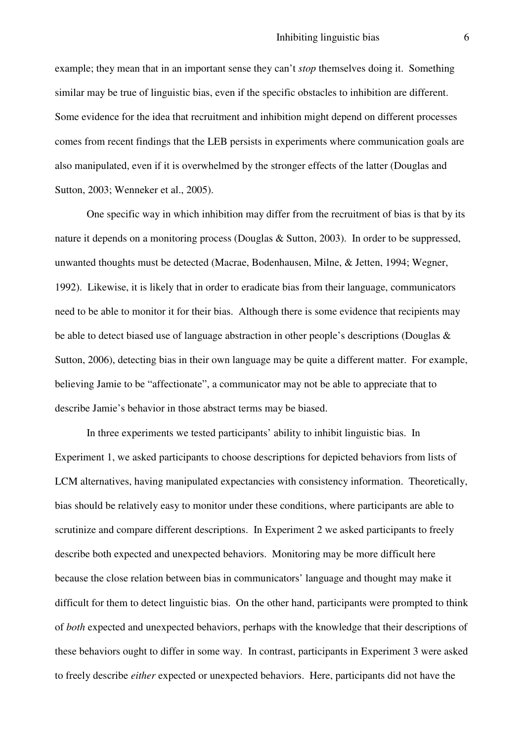example; they mean that in an important sense they can't *stop* themselves doing it. Something similar may be true of linguistic bias, even if the specific obstacles to inhibition are different. Some evidence for the idea that recruitment and inhibition might depend on different processes comes from recent findings that the LEB persists in experiments where communication goals are also manipulated, even if it is overwhelmed by the stronger effects of the latter (Douglas and Sutton, 2003; Wenneker et al., 2005).

One specific way in which inhibition may differ from the recruitment of bias is that by its nature it depends on a monitoring process (Douglas & Sutton, 2003). In order to be suppressed, unwanted thoughts must be detected (Macrae, Bodenhausen, Milne, & Jetten, 1994; Wegner, 1992). Likewise, it is likely that in order to eradicate bias from their language, communicators need to be able to monitor it for their bias. Although there is some evidence that recipients may be able to detect biased use of language abstraction in other people's descriptions (Douglas & Sutton, 2006), detecting bias in their own language may be quite a different matter. For example, believing Jamie to be "affectionate", a communicator may not be able to appreciate that to describe Jamie's behavior in those abstract terms may be biased.

In three experiments we tested participants' ability to inhibit linguistic bias. In Experiment 1, we asked participants to choose descriptions for depicted behaviors from lists of LCM alternatives, having manipulated expectancies with consistency information. Theoretically, bias should be relatively easy to monitor under these conditions, where participants are able to scrutinize and compare different descriptions. In Experiment 2 we asked participants to freely describe both expected and unexpected behaviors. Monitoring may be more difficult here because the close relation between bias in communicators' language and thought may make it difficult for them to detect linguistic bias. On the other hand, participants were prompted to think of *both* expected and unexpected behaviors, perhaps with the knowledge that their descriptions of these behaviors ought to differ in some way. In contrast, participants in Experiment 3 were asked to freely describe *either* expected or unexpected behaviors. Here, participants did not have the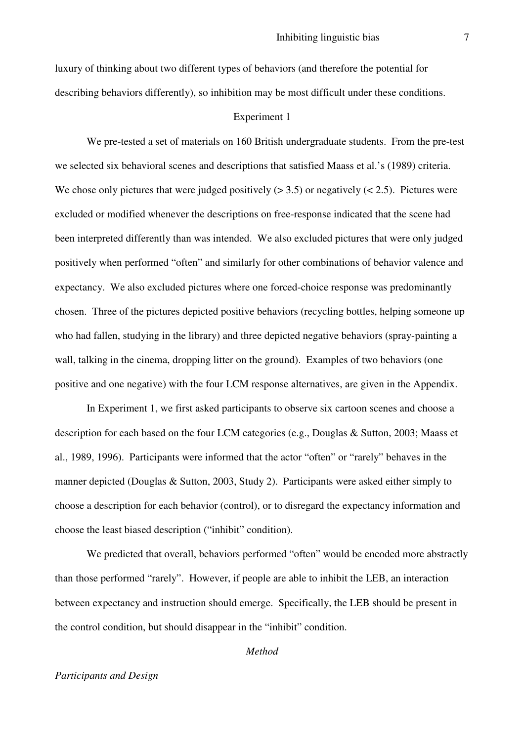luxury of thinking about two different types of behaviors (and therefore the potential for describing behaviors differently), so inhibition may be most difficult under these conditions.

#### Experiment 1

We pre-tested a set of materials on 160 British undergraduate students. From the pre-test we selected six behavioral scenes and descriptions that satisfied Maass et al.'s (1989) criteria. We chose only pictures that were judged positively  $(> 3.5)$  or negatively  $(< 2.5)$ . Pictures were excluded or modified whenever the descriptions on free-response indicated that the scene had been interpreted differently than was intended. We also excluded pictures that were only judged positively when performed "often" and similarly for other combinations of behavior valence and expectancy. We also excluded pictures where one forced-choice response was predominantly chosen. Three of the pictures depicted positive behaviors (recycling bottles, helping someone up who had fallen, studying in the library) and three depicted negative behaviors (spray-painting a wall, talking in the cinema, dropping litter on the ground). Examples of two behaviors (one positive and one negative) with the four LCM response alternatives, are given in the Appendix.

In Experiment 1, we first asked participants to observe six cartoon scenes and choose a description for each based on the four LCM categories (e.g., Douglas & Sutton, 2003; Maass et al., 1989, 1996). Participants were informed that the actor "often" or "rarely" behaves in the manner depicted (Douglas & Sutton, 2003, Study 2). Participants were asked either simply to choose a description for each behavior (control), or to disregard the expectancy information and choose the least biased description ("inhibit" condition).

We predicted that overall, behaviors performed "often" would be encoded more abstractly than those performed "rarely". However, if people are able to inhibit the LEB, an interaction between expectancy and instruction should emerge. Specifically, the LEB should be present in the control condition, but should disappear in the "inhibit" condition.

*Method* 

#### *Participants and Design*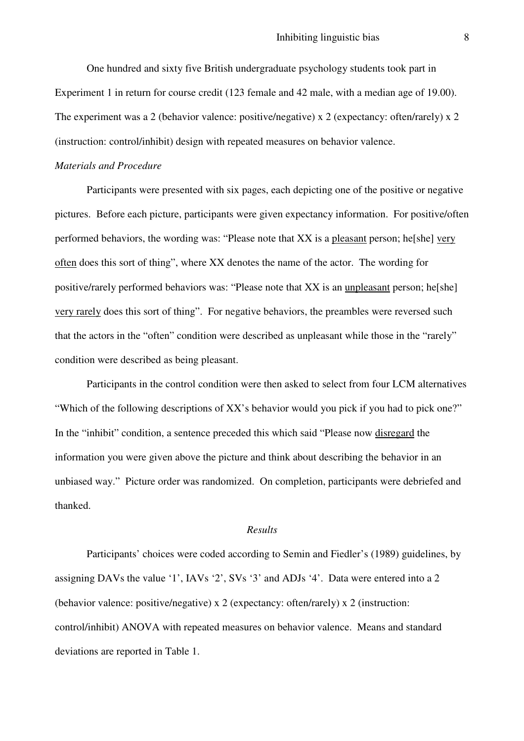One hundred and sixty five British undergraduate psychology students took part in Experiment 1 in return for course credit (123 female and 42 male, with a median age of 19.00). The experiment was a 2 (behavior valence: positive/negative) x 2 (expectancy: often/rarely) x 2 (instruction: control/inhibit) design with repeated measures on behavior valence.

#### *Materials and Procedure*

 Participants were presented with six pages, each depicting one of the positive or negative pictures. Before each picture, participants were given expectancy information. For positive/often performed behaviors, the wording was: "Please note that XX is a pleasant person; he[she] very often does this sort of thing", where XX denotes the name of the actor. The wording for positive/rarely performed behaviors was: "Please note that XX is an unpleasant person; he[she] very rarely does this sort of thing". For negative behaviors, the preambles were reversed such that the actors in the "often" condition were described as unpleasant while those in the "rarely" condition were described as being pleasant.

Participants in the control condition were then asked to select from four LCM alternatives "Which of the following descriptions of XX's behavior would you pick if you had to pick one?" In the "inhibit" condition, a sentence preceded this which said "Please now disregard the information you were given above the picture and think about describing the behavior in an unbiased way." Picture order was randomized. On completion, participants were debriefed and thanked.

#### *Results*

 Participants' choices were coded according to Semin and Fiedler's (1989) guidelines, by assigning DAVs the value '1', IAVs '2', SVs '3' and ADJs '4'. Data were entered into a 2 (behavior valence: positive/negative) x 2 (expectancy: often/rarely) x 2 (instruction: control/inhibit) ANOVA with repeated measures on behavior valence. Means and standard deviations are reported in Table 1.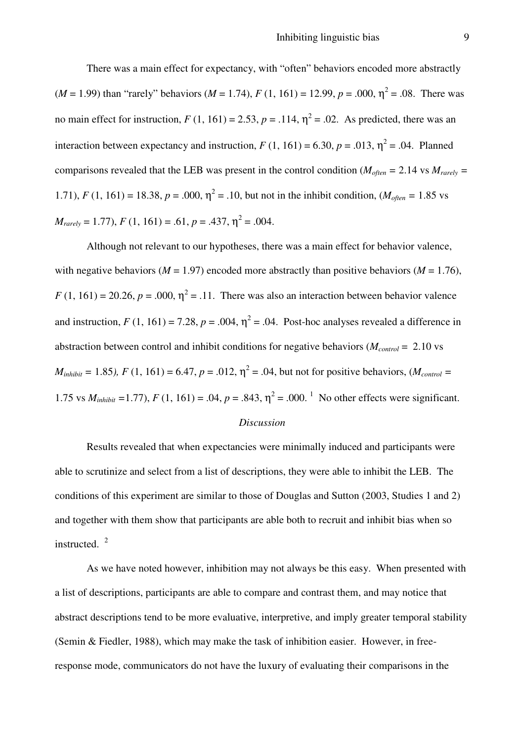There was a main effect for expectancy, with "often" behaviors encoded more abstractly (*M* = 1.99) than "rarely" behaviors (*M* = 1.74), *F* (1, 161) = 12.99, *p* = .000,  $\eta^2$  = .08. There was no main effect for instruction,  $F(1, 161) = 2.53$ ,  $p = .114$ ,  $\eta^2 = .02$ . As predicted, there was an interaction between expectancy and instruction,  $F(1, 161) = 6.30, p = .013, \eta^2 = .04$ . Planned comparisons revealed that the LEB was present in the control condition ( $M<sub>often</sub> = 2.14$  vs  $M<sub>rarely</sub> =$ 1.71),  $F(1, 161) = 18.38$ ,  $p = .000$ ,  $\eta^2 = .10$ , but not in the inhibit condition, ( $M_{\text{often}} = 1.85$  vs  $M_{rarely} = 1.77$ ,  $F(1, 161) = .61$ ,  $p = .437$ ,  $\eta^2 = .004$ .

Although not relevant to our hypotheses, there was a main effect for behavior valence, with negative behaviors ( $M = 1.97$ ) encoded more abstractly than positive behaviors ( $M = 1.76$ ),  $F(1, 161) = 20.26$ ,  $p = .000$ ,  $\eta^2 = .11$ . There was also an interaction between behavior valence and instruction,  $F(1, 161) = 7.28$ ,  $p = .004$ ,  $\eta^2 = .04$ . Post-hoc analyses revealed a difference in abstraction between control and inhibit conditions for negative behaviors (*Mcontrol* = 2.10 vs  $M_{inhibit} = 1.85$ ,  $F(1, 161) = 6.47$ ,  $p = .012$ ,  $\eta^2 = .04$ , but not for positive behaviors,  $(M_{control} =$ 1.75 vs  $M_{inhibit}$  =1.77),  $F(1, 161) = .04$ ,  $p = .843$ ,  $\eta^2 = .000$ .<sup>1</sup> No other effects were significant.

#### *Discussion*

Results revealed that when expectancies were minimally induced and participants were able to scrutinize and select from a list of descriptions, they were able to inhibit the LEB. The conditions of this experiment are similar to those of Douglas and Sutton (2003, Studies 1 and 2) and together with them show that participants are able both to recruit and inhibit bias when so instructed.  $2$ 

As we have noted however, inhibition may not always be this easy. When presented with a list of descriptions, participants are able to compare and contrast them, and may notice that abstract descriptions tend to be more evaluative, interpretive, and imply greater temporal stability (Semin & Fiedler, 1988), which may make the task of inhibition easier. However, in freeresponse mode, communicators do not have the luxury of evaluating their comparisons in the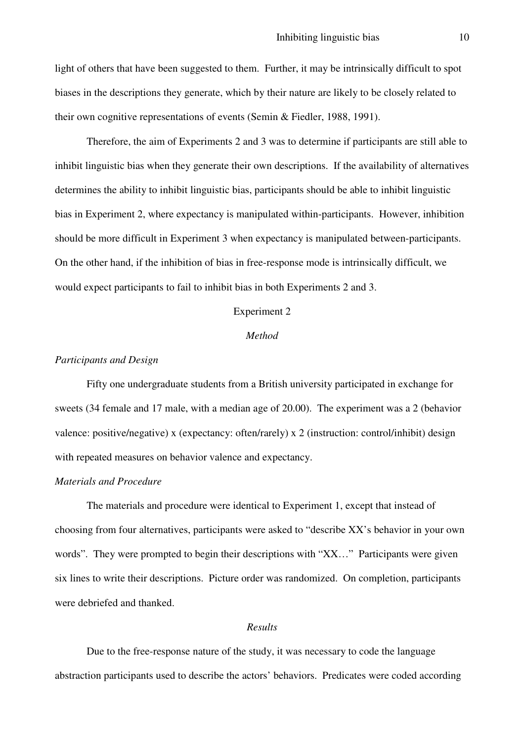light of others that have been suggested to them. Further, it may be intrinsically difficult to spot biases in the descriptions they generate, which by their nature are likely to be closely related to their own cognitive representations of events (Semin & Fiedler, 1988, 1991).

Therefore, the aim of Experiments 2 and 3 was to determine if participants are still able to inhibit linguistic bias when they generate their own descriptions. If the availability of alternatives determines the ability to inhibit linguistic bias, participants should be able to inhibit linguistic bias in Experiment 2, where expectancy is manipulated within-participants. However, inhibition should be more difficult in Experiment 3 when expectancy is manipulated between-participants. On the other hand, if the inhibition of bias in free-response mode is intrinsically difficult, we would expect participants to fail to inhibit bias in both Experiments 2 and 3.

#### Experiment 2

#### *Method*

#### *Participants and Design*

 Fifty one undergraduate students from a British university participated in exchange for sweets (34 female and 17 male, with a median age of 20.00). The experiment was a 2 (behavior valence: positive/negative) x (expectancy: often/rarely) x 2 (instruction: control/inhibit) design with repeated measures on behavior valence and expectancy.

#### *Materials and Procedure*

The materials and procedure were identical to Experiment 1, except that instead of choosing from four alternatives, participants were asked to "describe XX's behavior in your own words". They were prompted to begin their descriptions with "XX..." Participants were given six lines to write their descriptions. Picture order was randomized. On completion, participants were debriefed and thanked.

#### *Results*

Due to the free-response nature of the study, it was necessary to code the language abstraction participants used to describe the actors' behaviors. Predicates were coded according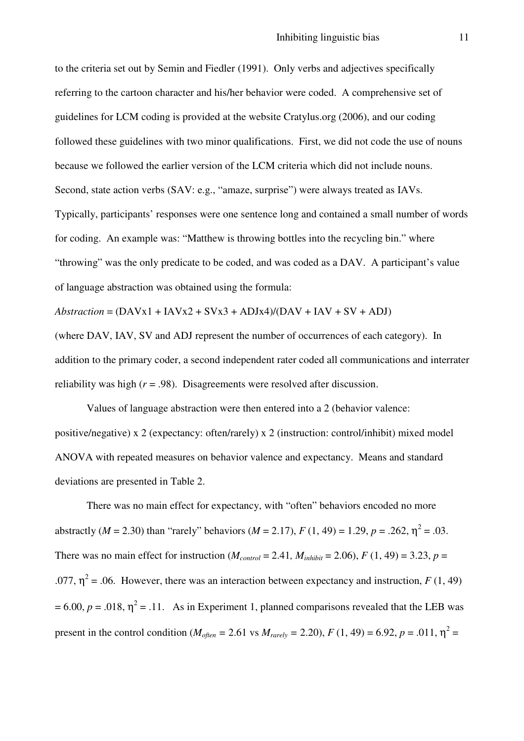to the criteria set out by Semin and Fiedler (1991). Only verbs and adjectives specifically referring to the cartoon character and his/her behavior were coded. A comprehensive set of guidelines for LCM coding is provided at the website Cratylus.org (2006), and our coding followed these guidelines with two minor qualifications. First, we did not code the use of nouns because we followed the earlier version of the LCM criteria which did not include nouns. Second, state action verbs (SAV: e.g., "amaze, surprise") were always treated as IAVs. Typically, participants' responses were one sentence long and contained a small number of words for coding. An example was: "Matthew is throwing bottles into the recycling bin." where "throwing" was the only predicate to be coded, and was coded as a DAV. A participant's value of language abstraction was obtained using the formula:

$$
Abstraction = (DAVx1 + IAVx2 + SVx3 + ADJx4)/(DAV + IAV + SV + ADJ)
$$

(where DAV, IAV, SV and ADJ represent the number of occurrences of each category). In addition to the primary coder, a second independent rater coded all communications and interrater reliability was high (*r* = .98). Disagreements were resolved after discussion.

Values of language abstraction were then entered into a 2 (behavior valence: positive/negative) x 2 (expectancy: often/rarely) x 2 (instruction: control/inhibit) mixed model ANOVA with repeated measures on behavior valence and expectancy. Means and standard deviations are presented in Table 2.

There was no main effect for expectancy, with "often" behaviors encoded no more abstractly ( $M = 2.30$ ) than "rarely" behaviors ( $M = 2.17$ ),  $F(1, 49) = 1.29$ ,  $p = .262$ ,  $\eta^2 = .03$ . There was no main effect for instruction ( $M_{control} = 2.41$ ,  $M_{inhibit} = 2.06$ ),  $F(1, 49) = 3.23$ ,  $p =$ .077,  $\eta^2$  = .06. However, there was an interaction between expectancy and instruction, *F* (1, 49)  $= 6.00, p = .018, \eta^2 = .11$ . As in Experiment 1, planned comparisons revealed that the LEB was present in the control condition ( $M_{\text{often}} = 2.61$  vs  $M_{\text{rarely}} = 2.20$ ),  $F(1, 49) = 6.92$ ,  $p = .011$ ,  $\eta^2 =$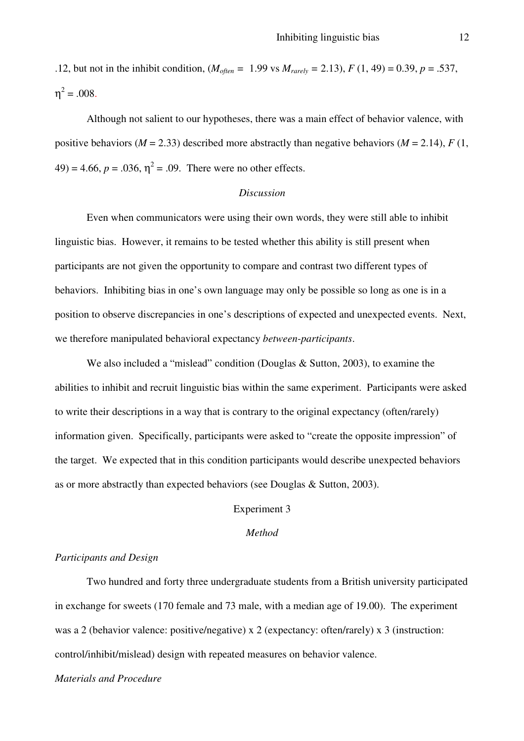.12, but not in the inhibit condition,  $(M_{\text{often}} = 1.99 \text{ vs } M_{\text{rarelv}} = 2.13)$ ,  $F(1, 49) = 0.39$ ,  $p = .537$ ,  $\eta^2 = .008$ .

 Although not salient to our hypotheses, there was a main effect of behavior valence, with positive behaviors ( $M = 2.33$ ) described more abstractly than negative behaviors ( $M = 2.14$ ),  $F(1, 1)$  $(49) = 4.66, p = .036, \eta^2 = .09$ . There were no other effects.

#### *Discussion*

Even when communicators were using their own words, they were still able to inhibit linguistic bias. However, it remains to be tested whether this ability is still present when participants are not given the opportunity to compare and contrast two different types of behaviors. Inhibiting bias in one's own language may only be possible so long as one is in a position to observe discrepancies in one's descriptions of expected and unexpected events. Next, we therefore manipulated behavioral expectancy *between-participants*.

We also included a "mislead" condition (Douglas & Sutton, 2003), to examine the abilities to inhibit and recruit linguistic bias within the same experiment. Participants were asked to write their descriptions in a way that is contrary to the original expectancy (often/rarely) information given. Specifically, participants were asked to "create the opposite impression" of the target. We expected that in this condition participants would describe unexpected behaviors as or more abstractly than expected behaviors (see Douglas & Sutton, 2003).

#### Experiment 3

#### *Method*

#### *Participants and Design*

 Two hundred and forty three undergraduate students from a British university participated in exchange for sweets (170 female and 73 male, with a median age of 19.00). The experiment was a 2 (behavior valence: positive/negative) x 2 (expectancy: often/rarely) x 3 (instruction: control/inhibit/mislead) design with repeated measures on behavior valence.

#### *Materials and Procedure*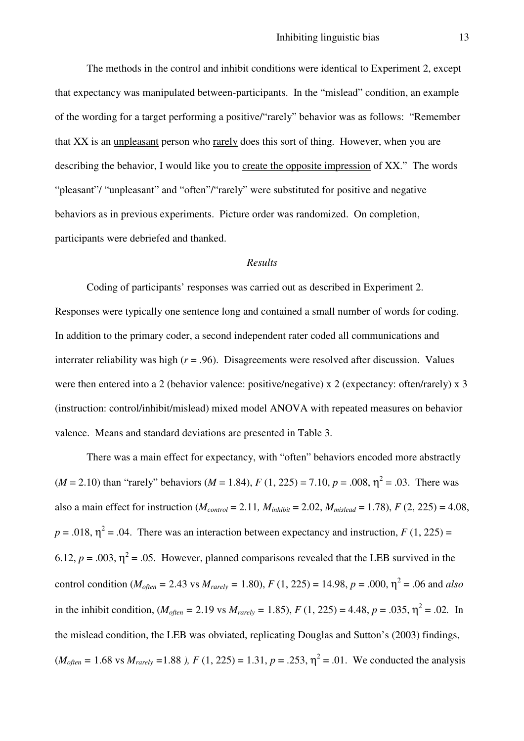The methods in the control and inhibit conditions were identical to Experiment 2, except that expectancy was manipulated between-participants. In the "mislead" condition, an example of the wording for a target performing a positive/"rarely" behavior was as follows: "Remember that XX is an unpleasant person who rarely does this sort of thing. However, when you are describing the behavior, I would like you to create the opposite impression of XX." The words "pleasant"/ "unpleasant" and "often"/"rarely" were substituted for positive and negative behaviors as in previous experiments. Picture order was randomized. On completion, participants were debriefed and thanked.

#### *Results*

Coding of participants' responses was carried out as described in Experiment 2. Responses were typically one sentence long and contained a small number of words for coding. In addition to the primary coder, a second independent rater coded all communications and interrater reliability was high  $(r = .96)$ . Disagreements were resolved after discussion. Values were then entered into a 2 (behavior valence: positive/negative) x 2 (expectancy: often/rarely) x 3 (instruction: control/inhibit/mislead) mixed model ANOVA with repeated measures on behavior valence. Means and standard deviations are presented in Table 3.

 There was a main effect for expectancy, with "often" behaviors encoded more abstractly  $(M = 2.10)$  than "rarely" behaviors  $(M = 1.84)$ ,  $F(1, 225) = 7.10$ ,  $p = .008$ ,  $\eta^2 = .03$ . There was also a main effect for instruction ( $M_{control} = 2.11$ ,  $M_{inhibit} = 2.02$ ,  $M_{mislead} = 1.78$ ),  $F (2, 225) = 4.08$ ,  $p = .018$ ,  $\eta^2 = .04$ . There was an interaction between expectancy and instruction,  $F(1, 225) =$ 6.12,  $p = .003$ ,  $\eta^2 = .05$ . However, planned comparisons revealed that the LEB survived in the control condition ( $M_{often} = 2.43$  vs  $M_{rarely} = 1.80$ ),  $F (1, 225) = 14.98$ ,  $p = .000$ ,  $\eta^2 = .06$  and  $also$ in the inhibit condition,  $(M_{\text{often}} = 2.19 \text{ vs } M_{\text{rarely}} = 1.85)$ ,  $F(1, 225) = 4.48$ ,  $p = .035$ ,  $\eta^2 = .02$ . In the mislead condition, the LEB was obviated, replicating Douglas and Sutton's (2003) findings,  $(M_{\text{often}} = 1.68 \text{ vs } M_{\text{rarely}} = 1.88)$ ,  $F(1, 225) = 1.31$ ,  $p = .253$ ,  $\eta^2 = .01$ . We conducted the analysis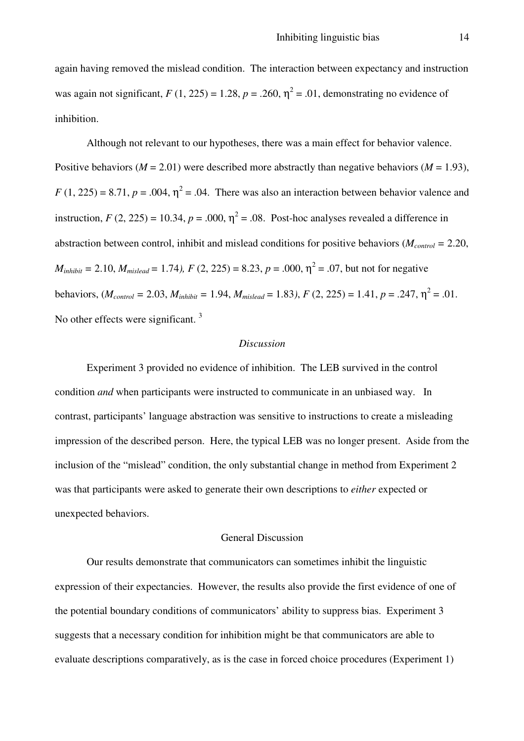again having removed the mislead condition. The interaction between expectancy and instruction was again not significant,  $F(1, 225) = 1.28$ ,  $p = .260$ ,  $\eta^2 = .01$ , demonstrating no evidence of inhibition.

Although not relevant to our hypotheses, there was a main effect for behavior valence. Positive behaviors ( $M = 2.01$ ) were described more abstractly than negative behaviors ( $M = 1.93$ ),  $F(1, 225) = 8.71$ ,  $p = .004$ ,  $\eta^2 = .04$ . There was also an interaction between behavior valence and instruction,  $F(2, 225) = 10.34$ ,  $p = .000$ ,  $\eta^2 = .08$ . Post-hoc analyses revealed a difference in abstraction between control, inhibit and mislead conditions for positive behaviors (*Mcontrol =* 2.20,  $M_{inhibit} = 2.10, M_{mislead} = 1.74$ ,  $F (2, 225) = 8.23, p = .000, \eta^2 = .07$ , but not for negative behaviors,  $(M_{control} = 2.03, M_{inhibit} = 1.94, M_{mislead} = 1.83), F (2, 225) = 1.41, p = .247, \eta^2 = .01.$ No other effects were significant.  $3$ 

#### *Discussion*

Experiment 3 provided no evidence of inhibition. The LEB survived in the control condition *and* when participants were instructed to communicate in an unbiased way. In contrast, participants' language abstraction was sensitive to instructions to create a misleading impression of the described person. Here, the typical LEB was no longer present. Aside from the inclusion of the "mislead" condition, the only substantial change in method from Experiment 2 was that participants were asked to generate their own descriptions to *either* expected or unexpected behaviors.

#### General Discussion

Our results demonstrate that communicators can sometimes inhibit the linguistic expression of their expectancies. However, the results also provide the first evidence of one of the potential boundary conditions of communicators' ability to suppress bias. Experiment 3 suggests that a necessary condition for inhibition might be that communicators are able to evaluate descriptions comparatively, as is the case in forced choice procedures (Experiment 1)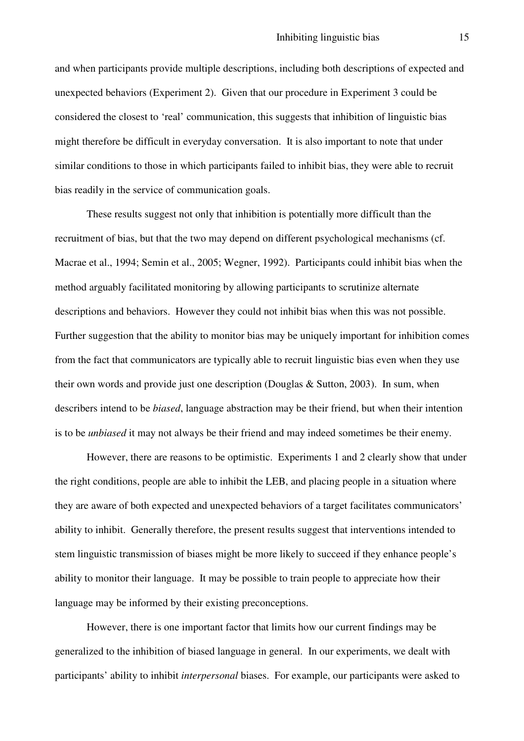and when participants provide multiple descriptions, including both descriptions of expected and unexpected behaviors (Experiment 2). Given that our procedure in Experiment 3 could be considered the closest to 'real' communication, this suggests that inhibition of linguistic bias might therefore be difficult in everyday conversation. It is also important to note that under similar conditions to those in which participants failed to inhibit bias, they were able to recruit bias readily in the service of communication goals.

These results suggest not only that inhibition is potentially more difficult than the recruitment of bias, but that the two may depend on different psychological mechanisms (cf. Macrae et al., 1994; Semin et al., 2005; Wegner, 1992). Participants could inhibit bias when the method arguably facilitated monitoring by allowing participants to scrutinize alternate descriptions and behaviors. However they could not inhibit bias when this was not possible. Further suggestion that the ability to monitor bias may be uniquely important for inhibition comes from the fact that communicators are typically able to recruit linguistic bias even when they use their own words and provide just one description (Douglas & Sutton, 2003). In sum, when describers intend to be *biased*, language abstraction may be their friend, but when their intention is to be *unbiased* it may not always be their friend and may indeed sometimes be their enemy.

However, there are reasons to be optimistic. Experiments 1 and 2 clearly show that under the right conditions, people are able to inhibit the LEB, and placing people in a situation where they are aware of both expected and unexpected behaviors of a target facilitates communicators' ability to inhibit. Generally therefore, the present results suggest that interventions intended to stem linguistic transmission of biases might be more likely to succeed if they enhance people's ability to monitor their language. It may be possible to train people to appreciate how their language may be informed by their existing preconceptions.

However, there is one important factor that limits how our current findings may be generalized to the inhibition of biased language in general. In our experiments, we dealt with participants' ability to inhibit *interpersonal* biases. For example, our participants were asked to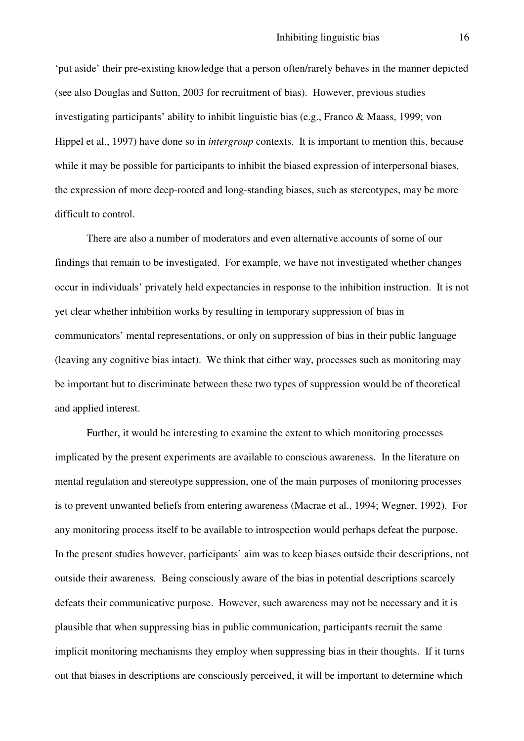'put aside' their pre-existing knowledge that a person often/rarely behaves in the manner depicted (see also Douglas and Sutton, 2003 for recruitment of bias). However, previous studies investigating participants' ability to inhibit linguistic bias (e.g., Franco & Maass, 1999; von Hippel et al., 1997) have done so in *intergroup* contexts. It is important to mention this, because while it may be possible for participants to inhibit the biased expression of interpersonal biases, the expression of more deep-rooted and long-standing biases, such as stereotypes, may be more difficult to control.

There are also a number of moderators and even alternative accounts of some of our findings that remain to be investigated. For example, we have not investigated whether changes occur in individuals' privately held expectancies in response to the inhibition instruction. It is not yet clear whether inhibition works by resulting in temporary suppression of bias in communicators' mental representations, or only on suppression of bias in their public language (leaving any cognitive bias intact). We think that either way, processes such as monitoring may be important but to discriminate between these two types of suppression would be of theoretical and applied interest.

Further, it would be interesting to examine the extent to which monitoring processes implicated by the present experiments are available to conscious awareness. In the literature on mental regulation and stereotype suppression, one of the main purposes of monitoring processes is to prevent unwanted beliefs from entering awareness (Macrae et al., 1994; Wegner, 1992). For any monitoring process itself to be available to introspection would perhaps defeat the purpose. In the present studies however, participants' aim was to keep biases outside their descriptions, not outside their awareness. Being consciously aware of the bias in potential descriptions scarcely defeats their communicative purpose. However, such awareness may not be necessary and it is plausible that when suppressing bias in public communication, participants recruit the same implicit monitoring mechanisms they employ when suppressing bias in their thoughts. If it turns out that biases in descriptions are consciously perceived, it will be important to determine which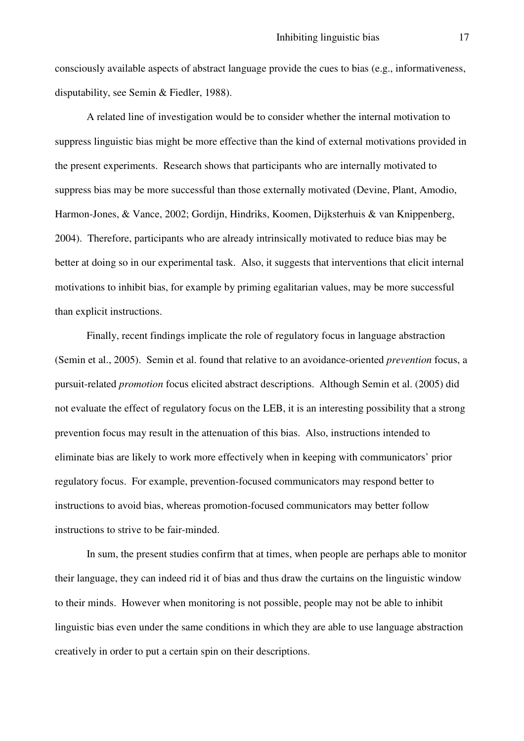consciously available aspects of abstract language provide the cues to bias (e.g., informativeness, disputability, see Semin & Fiedler, 1988).

A related line of investigation would be to consider whether the internal motivation to suppress linguistic bias might be more effective than the kind of external motivations provided in the present experiments. Research shows that participants who are internally motivated to suppress bias may be more successful than those externally motivated (Devine, Plant, Amodio, Harmon-Jones, & Vance, 2002; Gordijn, Hindriks, Koomen, Dijksterhuis & van Knippenberg, 2004). Therefore, participants who are already intrinsically motivated to reduce bias may be better at doing so in our experimental task. Also, it suggests that interventions that elicit internal motivations to inhibit bias, for example by priming egalitarian values, may be more successful than explicit instructions.

Finally, recent findings implicate the role of regulatory focus in language abstraction (Semin et al., 2005). Semin et al. found that relative to an avoidance-oriented *prevention* focus, a pursuit-related *promotion* focus elicited abstract descriptions. Although Semin et al. (2005) did not evaluate the effect of regulatory focus on the LEB, it is an interesting possibility that a strong prevention focus may result in the attenuation of this bias. Also, instructions intended to eliminate bias are likely to work more effectively when in keeping with communicators' prior regulatory focus. For example, prevention-focused communicators may respond better to instructions to avoid bias, whereas promotion-focused communicators may better follow instructions to strive to be fair-minded.

In sum, the present studies confirm that at times, when people are perhaps able to monitor their language, they can indeed rid it of bias and thus draw the curtains on the linguistic window to their minds. However when monitoring is not possible, people may not be able to inhibit linguistic bias even under the same conditions in which they are able to use language abstraction creatively in order to put a certain spin on their descriptions.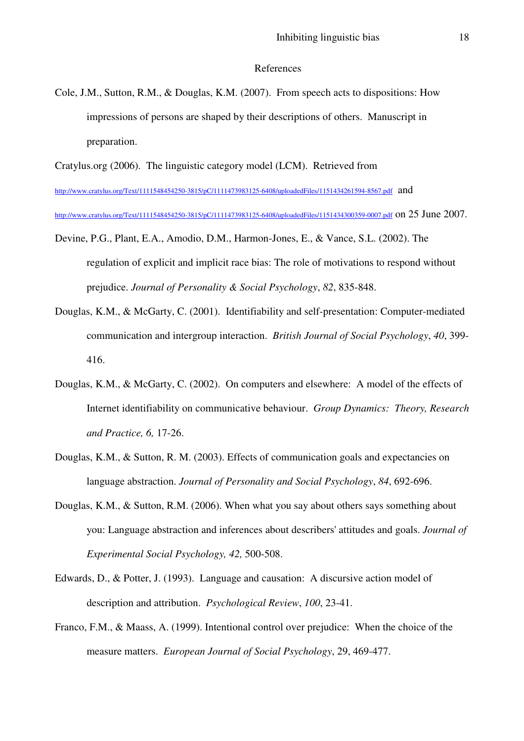#### References

Cole, J.M., Sutton, R.M., & Douglas, K.M. (2007). From speech acts to dispositions: How impressions of persons are shaped by their descriptions of others. Manuscript in preparation.

Cratylus.org (2006). The linguistic category model (LCM). Retrieved from

http://www.cratylus.org/Text/1111548454250-3815/pC/1111473983125-6408/uploadedFiles/1151434261594-8567.pdf and http://www.cratylus.org/Text/1111548454250-3815/pC/1111473983125-6408/uploadedFiles/1151434300359-0007.pdf ON 25 June 2007.

- Devine, P.G., Plant, E.A., Amodio, D.M., Harmon-Jones, E., & Vance, S.L. (2002). The regulation of explicit and implicit race bias: The role of motivations to respond without prejudice. *Journal of Personality & Social Psychology*, *82*, 835-848.
- Douglas, K.M., & McGarty, C. (2001). Identifiability and self-presentation: Computer-mediated communication and intergroup interaction. *British Journal of Social Psychology*, *40*, 399- 416.
- Douglas, K.M., & McGarty, C. (2002). On computers and elsewhere: A model of the effects of Internet identifiability on communicative behaviour. *Group Dynamics: Theory, Research and Practice, 6,* 17-26.
- Douglas, K.M., & Sutton, R. M. (2003). Effects of communication goals and expectancies on language abstraction. *Journal of Personality and Social Psychology*, *84*, 692-696.
- Douglas, K.M., & Sutton, R.M. (2006). When what you say about others says something about you: Language abstraction and inferences about describers' attitudes and goals. *Journal of Experimental Social Psychology, 42,* 500-508.
- Edwards, D., & Potter, J. (1993). Language and causation: A discursive action model of description and attribution. *Psychological Review*, *100*, 23-41.
- Franco, F.M., & Maass, A. (1999). Intentional control over prejudice: When the choice of the measure matters. *European Journal of Social Psychology*, 29, 469-477.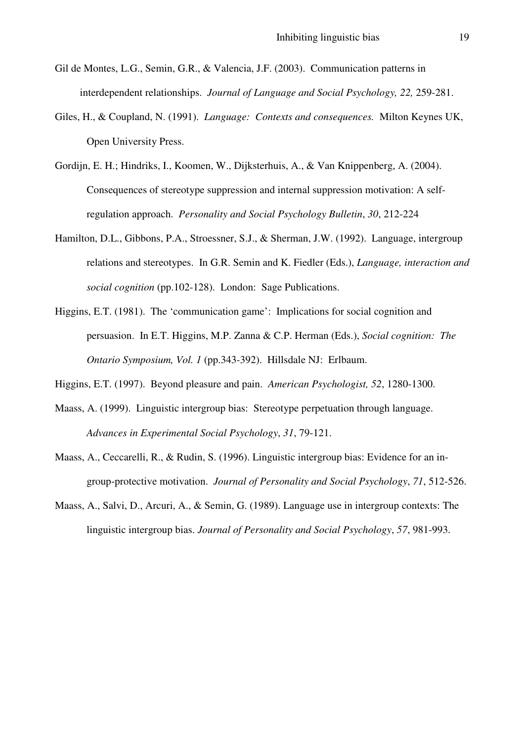- Gil de Montes, L.G., Semin, G.R., & Valencia, J.F. (2003). Communication patterns in interdependent relationships. *Journal of Language and Social Psychology, 22,* 259-281.
- Giles, H., & Coupland, N. (1991). *Language: Contexts and consequences.* Milton Keynes UK, Open University Press.
- Gordijn, E. H.; Hindriks, I., Koomen, W., Dijksterhuis, A., & Van Knippenberg, A. (2004). Consequences of stereotype suppression and internal suppression motivation: A selfregulation approach. *Personality and Social Psychology Bulletin*, *30*, 212-224
- Hamilton, D.L., Gibbons, P.A., Stroessner, S.J., & Sherman, J.W. (1992). Language, intergroup relations and stereotypes. In G.R. Semin and K. Fiedler (Eds.), *Language, interaction and social cognition* (pp.102-128).London: Sage Publications.
- Higgins, E.T. (1981). The 'communication game': Implications for social cognition and persuasion. In E.T. Higgins, M.P. Zanna & C.P. Herman (Eds.), *Social cognition: The Ontario Symposium, Vol. 1* (pp.343-392). Hillsdale NJ: Erlbaum.
- Higgins, E.T. (1997). Beyond pleasure and pain. *American Psychologist, 52*, 1280-1300.
- Maass, A. (1999). Linguistic intergroup bias: Stereotype perpetuation through language. *Advances in Experimental Social Psychology*, *31*, 79-121.
- Maass, A., Ceccarelli, R., & Rudin, S. (1996). Linguistic intergroup bias: Evidence for an ingroup-protective motivation. *Journal of Personality and Social Psychology*, *71*, 512-526.
- Maass, A., Salvi, D., Arcuri, A., & Semin, G. (1989). Language use in intergroup contexts: The linguistic intergroup bias. *Journal of Personality and Social Psychology*, *57*, 981-993.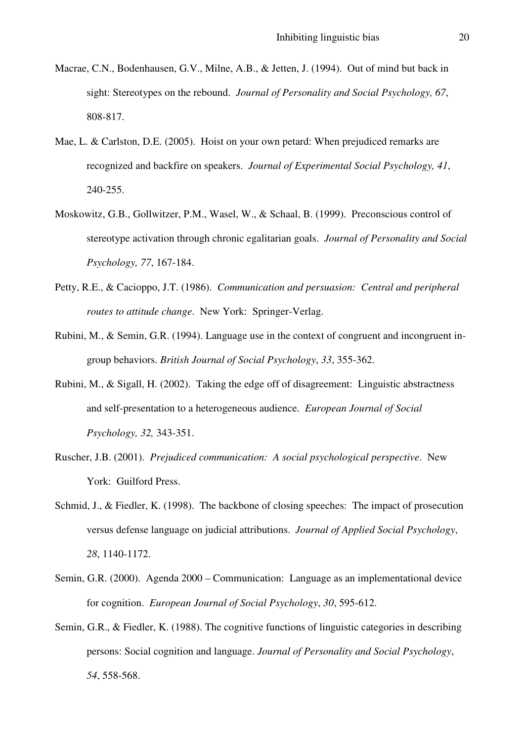- Macrae, C.N., Bodenhausen, G.V., Milne, A.B., & Jetten, J. (1994). Out of mind but back in sight: Stereotypes on the rebound. *Journal of Personality and Social Psychology, 67*, 808-817.
- Mae, L. & Carlston, D.E. (2005). Hoist on your own petard: When prejudiced remarks are recognized and backfire on speakers. *Journal of Experimental Social Psychology, 41*, 240-255.
- Moskowitz, G.B., Gollwitzer, P.M., Wasel, W., & Schaal, B. (1999). Preconscious control of stereotype activation through chronic egalitarian goals. *Journal of Personality and Social Psychology, 77*, 167-184.
- Petty, R.E., & Cacioppo, J.T. (1986). *Communication and persuasion: Central and peripheral routes to attitude change*. New York: Springer-Verlag.
- Rubini, M., & Semin, G.R. (1994). Language use in the context of congruent and incongruent ingroup behaviors. *British Journal of Social Psychology*, *33*, 355-362.
- Rubini, M., & Sigall, H. (2002). Taking the edge off of disagreement: Linguistic abstractness and self-presentation to a heterogeneous audience. *European Journal of Social Psychology, 32,* 343-351.
- Ruscher, J.B. (2001). *Prejudiced communication: A social psychological perspective*. New York: Guilford Press.
- Schmid, J., & Fiedler, K. (1998). The backbone of closing speeches: The impact of prosecution versus defense language on judicial attributions. *Journal of Applied Social Psychology*, *28*, 1140-1172.
- Semin, G.R. (2000). Agenda 2000 Communication: Language as an implementational device for cognition. *European Journal of Social Psychology*, *30*, 595-612.
- Semin, G.R., & Fiedler, K. (1988). The cognitive functions of linguistic categories in describing persons: Social cognition and language. *Journal of Personality and Social Psychology*, *54*, 558-568.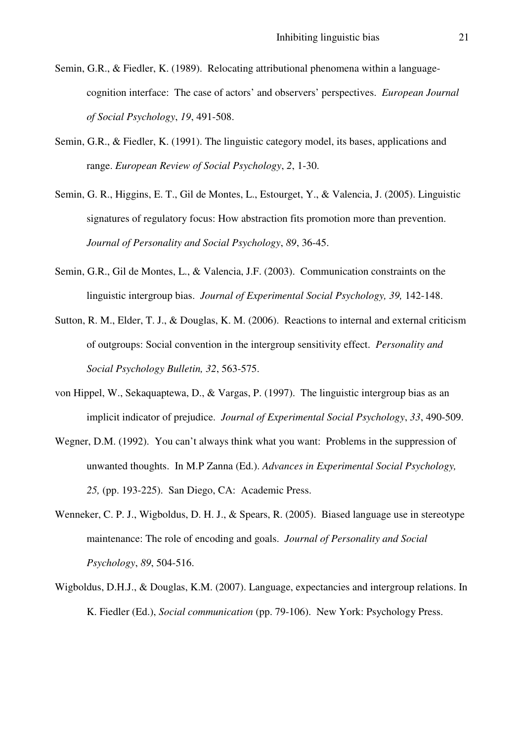- Semin, G.R., & Fiedler, K. (1989). Relocating attributional phenomena within a languagecognition interface: The case of actors' and observers' perspectives. *European Journal of Social Psychology*, *19*, 491-508.
- Semin, G.R., & Fiedler, K. (1991). The linguistic category model, its bases, applications and range. *European Review of Social Psychology*, *2*, 1-30.
- Semin, G. R., Higgins, E. T., Gil de Montes, L., Estourget, Y., & Valencia, J. (2005). Linguistic signatures of regulatory focus: How abstraction fits promotion more than prevention. *Journal of Personality and Social Psychology*, *89*, 36-45.
- Semin, G.R., Gil de Montes, L., & Valencia, J.F. (2003). Communication constraints on the linguistic intergroup bias. *Journal of Experimental Social Psychology, 39,* 142-148.
- Sutton, R. M., Elder, T. J., & Douglas, K. M. (2006). Reactions to internal and external criticism of outgroups: Social convention in the intergroup sensitivity effect. *Personality and Social Psychology Bulletin, 32*, 563-575.
- von Hippel, W., Sekaquaptewa, D., & Vargas, P. (1997). The linguistic intergroup bias as an implicit indicator of prejudice. *Journal of Experimental Social Psychology*, *33*, 490-509.
- Wegner, D.M. (1992). You can't always think what you want: Problems in the suppression of unwanted thoughts. In M.P Zanna (Ed.). *Advances in Experimental Social Psychology, 25,* (pp. 193-225). San Diego, CA: Academic Press.
- Wenneker, C. P. J., Wigboldus, D. H. J., & Spears, R. (2005). Biased language use in stereotype maintenance: The role of encoding and goals. *Journal of Personality and Social Psychology*, *89*, 504-516.
- Wigboldus, D.H.J., & Douglas, K.M. (2007). Language, expectancies and intergroup relations. In K. Fiedler (Ed.), *Social communication* (pp. 79-106).New York: Psychology Press.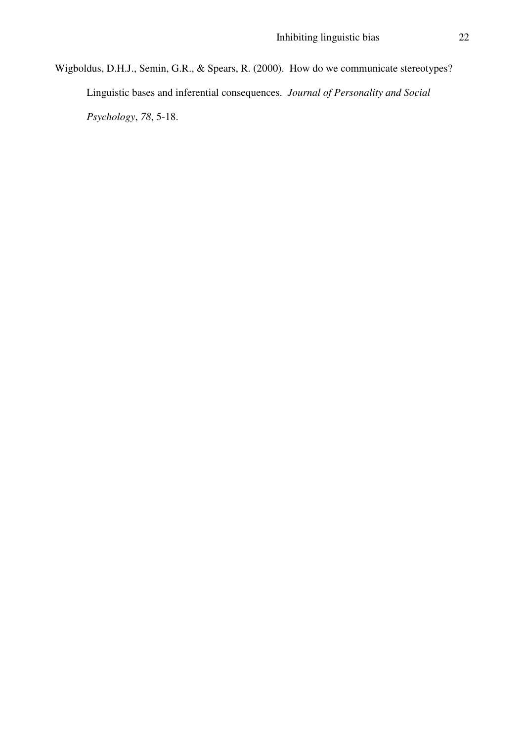Wigboldus, D.H.J., Semin, G.R., & Spears, R. (2000). How do we communicate stereotypes? Linguistic bases and inferential consequences. *Journal of Personality and Social Psychology*, *78*, 5-18.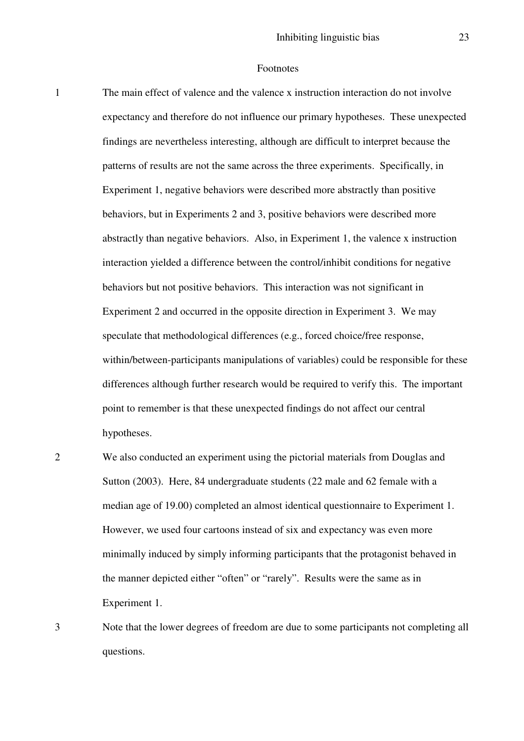#### Footnotes

1 The main effect of valence and the valence x instruction interaction do not involve expectancy and therefore do not influence our primary hypotheses. These unexpected findings are nevertheless interesting, although are difficult to interpret because the patterns of results are not the same across the three experiments. Specifically, in Experiment 1, negative behaviors were described more abstractly than positive behaviors, but in Experiments 2 and 3, positive behaviors were described more abstractly than negative behaviors. Also, in Experiment 1, the valence x instruction interaction yielded a difference between the control/inhibit conditions for negative behaviors but not positive behaviors. This interaction was not significant in Experiment 2 and occurred in the opposite direction in Experiment 3. We may speculate that methodological differences (e.g., forced choice/free response, within/between-participants manipulations of variables) could be responsible for these differences although further research would be required to verify this. The important point to remember is that these unexpected findings do not affect our central hypotheses.

2 We also conducted an experiment using the pictorial materials from Douglas and Sutton (2003). Here, 84 undergraduate students (22 male and 62 female with a median age of 19.00) completed an almost identical questionnaire to Experiment 1. However, we used four cartoons instead of six and expectancy was even more minimally induced by simply informing participants that the protagonist behaved in the manner depicted either "often" or "rarely". Results were the same as in Experiment 1.

3 Note that the lower degrees of freedom are due to some participants not completing all questions.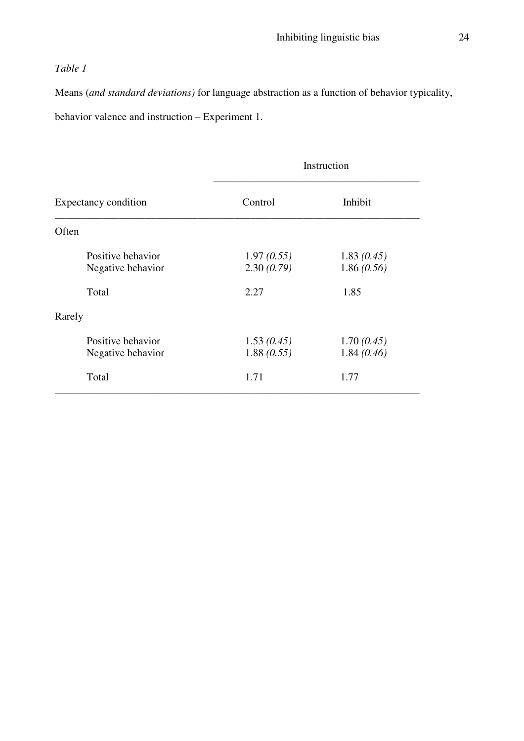## *Table 1*

Means (*and standard deviations)* for language abstraction as a function of behavior typicality,

behavior valence and instruction – Experiment 1.

|                      | Instruction |            |  |
|----------------------|-------------|------------|--|
| Expectancy condition | Control     | Inhibit    |  |
| Often                |             |            |  |
| Positive behavior    | 1.97(0.55)  | 1.83(0.45) |  |
| Negative behavior    | 2.30(0.79)  | 1.86(0.56) |  |
| Total                | 2.27        | 1.85       |  |
| Rarely               |             |            |  |
| Positive behavior    | 1.53(0.45)  | 1.70(0.45) |  |
| Negative behavior    | 1.88(0.55)  | 1.84(0.46) |  |
| Total                | 1.71        | 1.77       |  |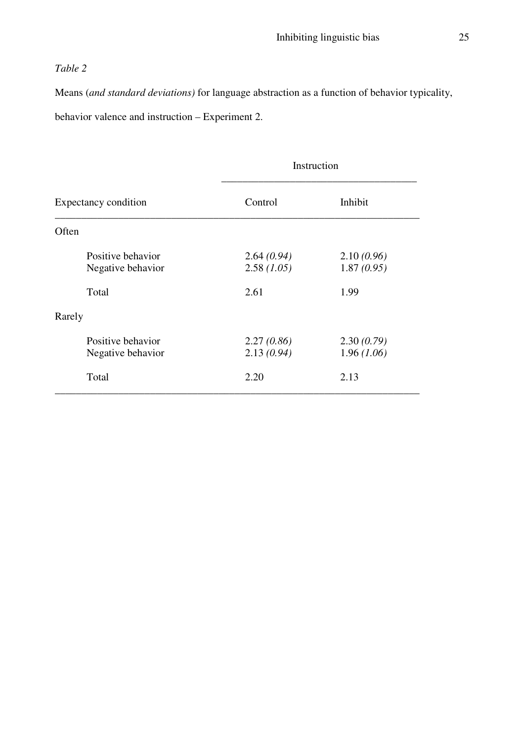## *Table 2*

Means (*and standard deviations)* for language abstraction as a function of behavior typicality,

behavior valence and instruction – Experiment 2.

|                                        | Instruction              |                          |  |
|----------------------------------------|--------------------------|--------------------------|--|
| Expectancy condition                   | Control                  | Inhibit                  |  |
| Often                                  |                          |                          |  |
| Positive behavior<br>Negative behavior | 2.64(0.94)<br>2.58(1.05) | 2.10(0.96)<br>1.87(0.95) |  |
| Total                                  | 2.61                     | 1.99                     |  |
| Rarely                                 |                          |                          |  |
| Positive behavior<br>Negative behavior | 2.27(0.86)<br>2.13(0.94) | 2.30(0.79)<br>1.96(1.06) |  |
| Total                                  | 2.20                     | 2.13                     |  |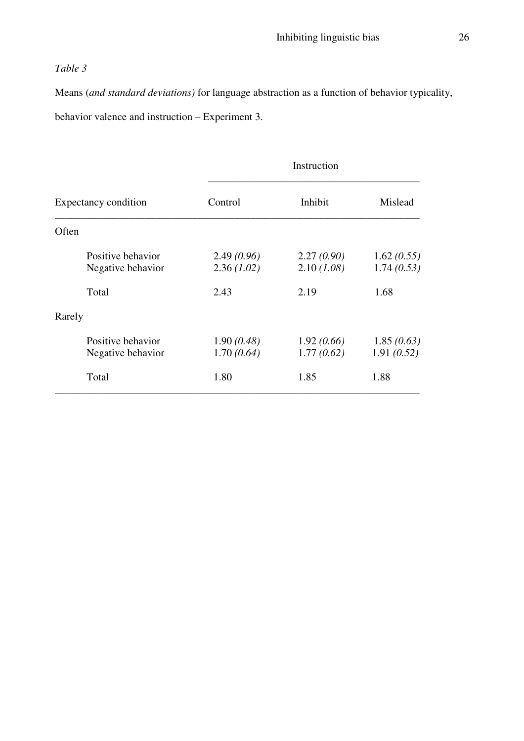## *Table 3*

Means (*and standard deviations)* for language abstraction as a function of behavior typicality,

behavior valence and instruction – Experiment 3.

| Expectancy condition | Instruction |            |            |
|----------------------|-------------|------------|------------|
|                      | Control     | Inhibit    | Mislead    |
| Often                |             |            |            |
| Positive behavior    | 2.49(0.96)  | 2.27(0.90) | 1.62(0.55) |
| Negative behavior    | 2.36(1.02)  | 2.10(1.08) | 1.74(0.53) |
| Total                | 2.43        | 2.19       | 1.68       |
| Rarely               |             |            |            |
| Positive behavior    | 1.90(0.48)  | 1.92(0.66) | 1.85(0.63) |
| Negative behavior    | 1.70(0.64)  | 1.77(0.62) | 1.91(0.52) |
| Total                | 1.80        | 1.85       | 1.88       |